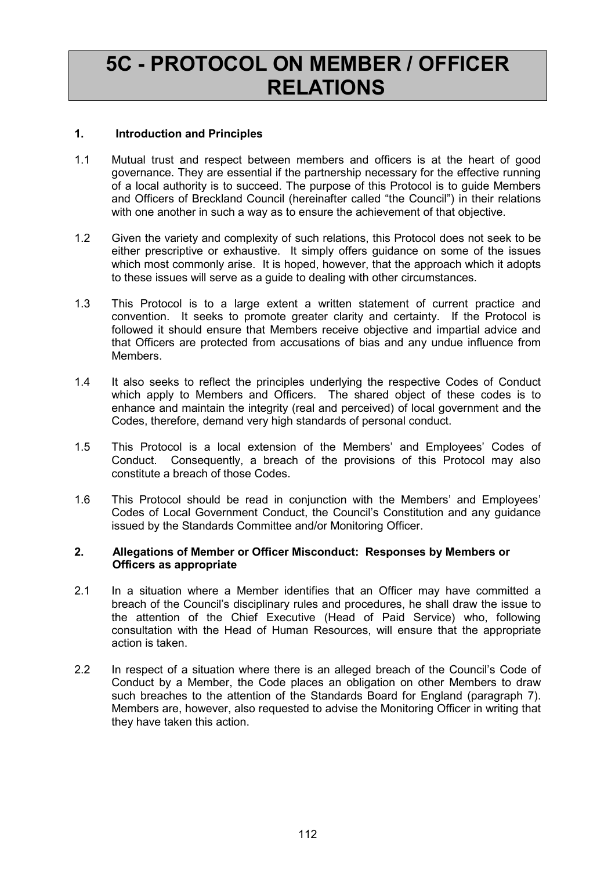# 5C - PROTOCOL ON MEMBER / OFFICER RELATIONS

# 1. Introduction and Principles

- 1.1 Mutual trust and respect between members and officers is at the heart of good governance. They are essential if the partnership necessary for the effective running of a local authority is to succeed. The purpose of this Protocol is to guide Members and Officers of Breckland Council (hereinafter called "the Council") in their relations with one another in such a way as to ensure the achievement of that objective.
- 1.2 Given the variety and complexity of such relations, this Protocol does not seek to be either prescriptive or exhaustive. It simply offers guidance on some of the issues which most commonly arise. It is hoped, however, that the approach which it adopts to these issues will serve as a guide to dealing with other circumstances.
- 1.3 This Protocol is to a large extent a written statement of current practice and convention. It seeks to promote greater clarity and certainty. If the Protocol is followed it should ensure that Members receive objective and impartial advice and that Officers are protected from accusations of bias and any undue influence from Members.
- 1.4 It also seeks to reflect the principles underlying the respective Codes of Conduct which apply to Members and Officers. The shared object of these codes is to enhance and maintain the integrity (real and perceived) of local government and the Codes, therefore, demand very high standards of personal conduct.
- 1.5 This Protocol is a local extension of the Members' and Employees' Codes of Conduct. Consequently, a breach of the provisions of this Protocol may also constitute a breach of those Codes.
- 1.6 This Protocol should be read in conjunction with the Members' and Employees' Codes of Local Government Conduct, the Council's Constitution and any guidance issued by the Standards Committee and/or Monitoring Officer.

#### 2. Allegations of Member or Officer Misconduct: Responses by Members or Officers as appropriate

- 2.1 In a situation where a Member identifies that an Officer may have committed a breach of the Council's disciplinary rules and procedures, he shall draw the issue to the attention of the Chief Executive (Head of Paid Service) who, following consultation with the Head of Human Resources, will ensure that the appropriate action is taken.
- 2.2 In respect of a situation where there is an alleged breach of the Council's Code of Conduct by a Member, the Code places an obligation on other Members to draw such breaches to the attention of the Standards Board for England (paragraph 7). Members are, however, also requested to advise the Monitoring Officer in writing that they have taken this action.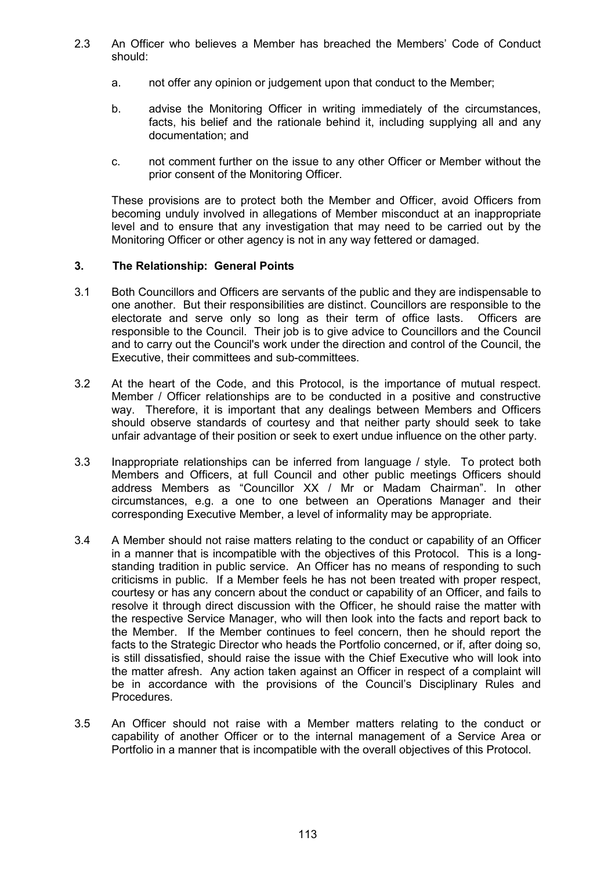- 2.3 An Officer who believes a Member has breached the Members' Code of Conduct should:
	- a. not offer any opinion or judgement upon that conduct to the Member;
	- b. advise the Monitoring Officer in writing immediately of the circumstances, facts, his belief and the rationale behind it, including supplying all and any documentation; and
	- c. not comment further on the issue to any other Officer or Member without the prior consent of the Monitoring Officer.

 These provisions are to protect both the Member and Officer, avoid Officers from becoming unduly involved in allegations of Member misconduct at an inappropriate level and to ensure that any investigation that may need to be carried out by the Monitoring Officer or other agency is not in any way fettered or damaged.

## 3. The Relationship: General Points

- 3.1 Both Councillors and Officers are servants of the public and they are indispensable to one another. But their responsibilities are distinct. Councillors are responsible to the electorate and serve only so long as their term of office lasts. Officers are responsible to the Council. Their job is to give advice to Councillors and the Council and to carry out the Council's work under the direction and control of the Council, the Executive, their committees and sub-committees.
- 3.2 At the heart of the Code, and this Protocol, is the importance of mutual respect. Member / Officer relationships are to be conducted in a positive and constructive way. Therefore, it is important that any dealings between Members and Officers should observe standards of courtesy and that neither party should seek to take unfair advantage of their position or seek to exert undue influence on the other party.
- 3.3 Inappropriate relationships can be inferred from language / style. To protect both Members and Officers, at full Council and other public meetings Officers should address Members as "Councillor XX / Mr or Madam Chairman". In other circumstances, e.g. a one to one between an Operations Manager and their corresponding Executive Member, a level of informality may be appropriate.
- 3.4 A Member should not raise matters relating to the conduct or capability of an Officer in a manner that is incompatible with the objectives of this Protocol. This is a longstanding tradition in public service. An Officer has no means of responding to such criticisms in public. If a Member feels he has not been treated with proper respect, courtesy or has any concern about the conduct or capability of an Officer, and fails to resolve it through direct discussion with the Officer, he should raise the matter with the respective Service Manager, who will then look into the facts and report back to the Member. If the Member continues to feel concern, then he should report the facts to the Strategic Director who heads the Portfolio concerned, or if, after doing so, is still dissatisfied, should raise the issue with the Chief Executive who will look into the matter afresh. Any action taken against an Officer in respect of a complaint will be in accordance with the provisions of the Council's Disciplinary Rules and **Procedures**
- 3.5 An Officer should not raise with a Member matters relating to the conduct or capability of another Officer or to the internal management of a Service Area or Portfolio in a manner that is incompatible with the overall objectives of this Protocol.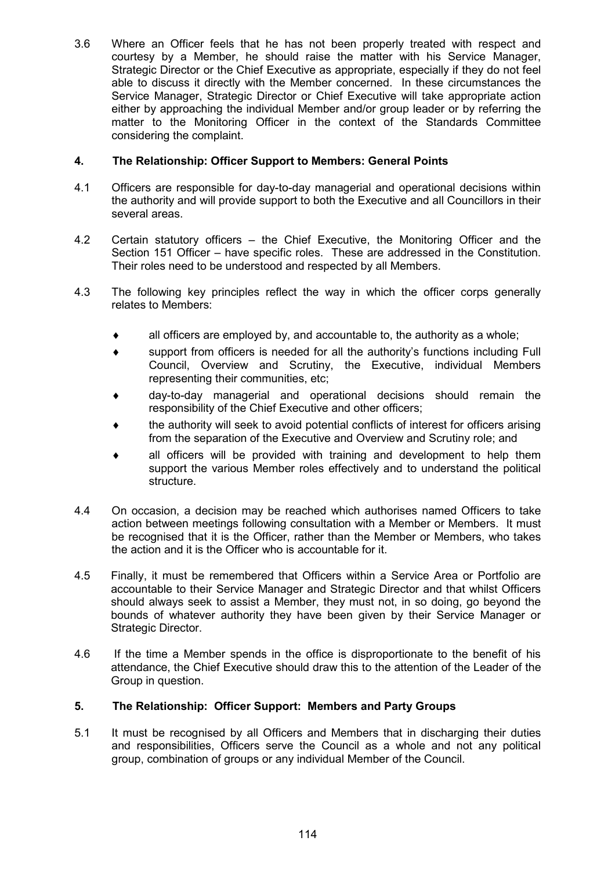3.6 Where an Officer feels that he has not been properly treated with respect and courtesy by a Member, he should raise the matter with his Service Manager, Strategic Director or the Chief Executive as appropriate, especially if they do not feel able to discuss it directly with the Member concerned. In these circumstances the Service Manager, Strategic Director or Chief Executive will take appropriate action either by approaching the individual Member and/or group leader or by referring the matter to the Monitoring Officer in the context of the Standards Committee considering the complaint.

# 4. The Relationship: Officer Support to Members: General Points

- 4.1 Officers are responsible for day-to-day managerial and operational decisions within the authority and will provide support to both the Executive and all Councillors in their several areas.
- 4.2 Certain statutory officers the Chief Executive, the Monitoring Officer and the Section 151 Officer – have specific roles. These are addressed in the Constitution. Their roles need to be understood and respected by all Members.
- 4.3 The following key principles reflect the way in which the officer corps generally relates to Members:
	- $\bullet$  all officers are employed by, and accountable to, the authority as a whole;
	- ♦ support from officers is needed for all the authority's functions including Full Council, Overview and Scrutiny, the Executive, individual Members representing their communities, etc;
	- day-to-day managerial and operational decisions should remain the responsibility of the Chief Executive and other officers;
	- the authority will seek to avoid potential conflicts of interest for officers arising from the separation of the Executive and Overview and Scrutiny role; and
	- all officers will be provided with training and development to help them support the various Member roles effectively and to understand the political structure.
- 4.4 On occasion, a decision may be reached which authorises named Officers to take action between meetings following consultation with a Member or Members. It must be recognised that it is the Officer, rather than the Member or Members, who takes the action and it is the Officer who is accountable for it.
- 4.5 Finally, it must be remembered that Officers within a Service Area or Portfolio are accountable to their Service Manager and Strategic Director and that whilst Officers should always seek to assist a Member, they must not, in so doing, go beyond the bounds of whatever authority they have been given by their Service Manager or Strategic Director.
- 4.6 If the time a Member spends in the office is disproportionate to the benefit of his attendance, the Chief Executive should draw this to the attention of the Leader of the Group in question.

# 5. The Relationship: Officer Support: Members and Party Groups

5.1 It must be recognised by all Officers and Members that in discharging their duties and responsibilities, Officers serve the Council as a whole and not any political group, combination of groups or any individual Member of the Council.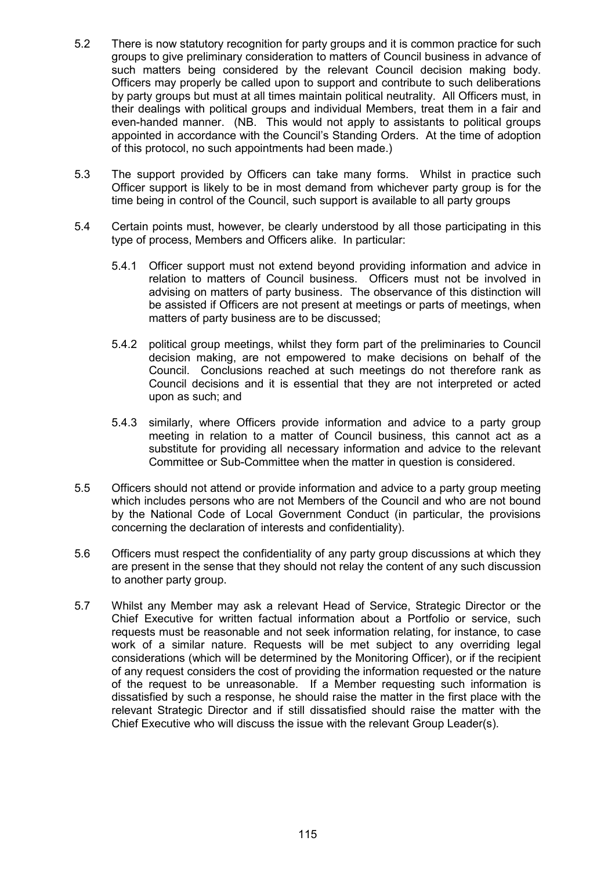- 5.2 There is now statutory recognition for party groups and it is common practice for such groups to give preliminary consideration to matters of Council business in advance of such matters being considered by the relevant Council decision making body. Officers may properly be called upon to support and contribute to such deliberations by party groups but must at all times maintain political neutrality. All Officers must, in their dealings with political groups and individual Members, treat them in a fair and even-handed manner. (NB. This would not apply to assistants to political groups appointed in accordance with the Council's Standing Orders. At the time of adoption of this protocol, no such appointments had been made.)
- 5.3 The support provided by Officers can take many forms. Whilst in practice such Officer support is likely to be in most demand from whichever party group is for the time being in control of the Council, such support is available to all party groups
- 5.4 Certain points must, however, be clearly understood by all those participating in this type of process, Members and Officers alike. In particular:
	- 5.4.1 Officer support must not extend beyond providing information and advice in relation to matters of Council business. Officers must not be involved in advising on matters of party business. The observance of this distinction will be assisted if Officers are not present at meetings or parts of meetings, when matters of party business are to be discussed;
	- 5.4.2 political group meetings, whilst they form part of the preliminaries to Council decision making, are not empowered to make decisions on behalf of the Council. Conclusions reached at such meetings do not therefore rank as Council decisions and it is essential that they are not interpreted or acted upon as such; and
	- 5.4.3 similarly, where Officers provide information and advice to a party group meeting in relation to a matter of Council business, this cannot act as a substitute for providing all necessary information and advice to the relevant Committee or Sub-Committee when the matter in question is considered.
- 5.5 Officers should not attend or provide information and advice to a party group meeting which includes persons who are not Members of the Council and who are not bound by the National Code of Local Government Conduct (in particular, the provisions concerning the declaration of interests and confidentiality).
- 5.6 Officers must respect the confidentiality of any party group discussions at which they are present in the sense that they should not relay the content of any such discussion to another party group.
- 5.7 Whilst any Member may ask a relevant Head of Service, Strategic Director or the Chief Executive for written factual information about a Portfolio or service, such requests must be reasonable and not seek information relating, for instance, to case work of a similar nature. Requests will be met subject to any overriding legal considerations (which will be determined by the Monitoring Officer), or if the recipient of any request considers the cost of providing the information requested or the nature of the request to be unreasonable. If a Member requesting such information is dissatisfied by such a response, he should raise the matter in the first place with the relevant Strategic Director and if still dissatisfied should raise the matter with the Chief Executive who will discuss the issue with the relevant Group Leader(s).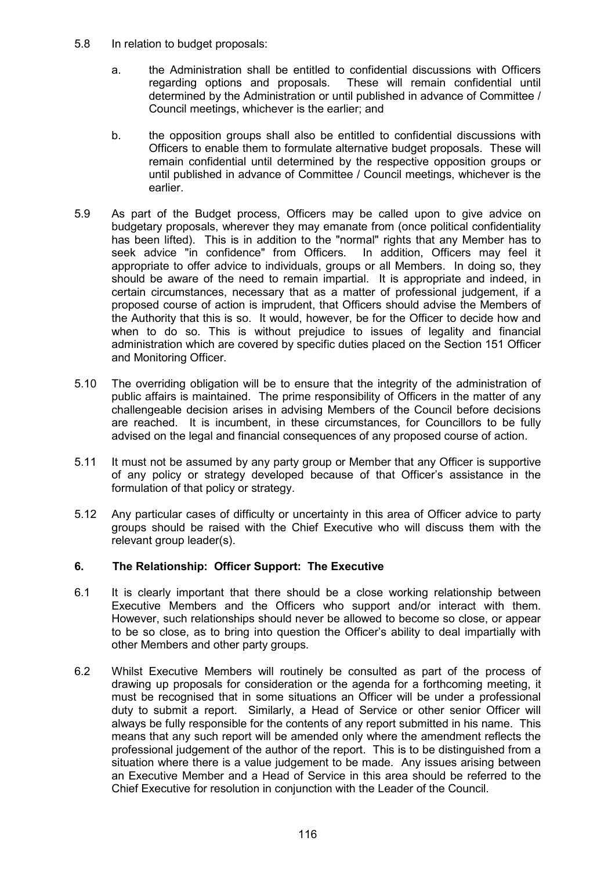- 5.8 In relation to budget proposals:
	- a. the Administration shall be entitled to confidential discussions with Officers regarding options and proposals. These will remain confidential until determined by the Administration or until published in advance of Committee / Council meetings, whichever is the earlier; and
	- b. the opposition groups shall also be entitled to confidential discussions with Officers to enable them to formulate alternative budget proposals. These will remain confidential until determined by the respective opposition groups or until published in advance of Committee / Council meetings, whichever is the earlier.
- 5.9 As part of the Budget process, Officers may be called upon to give advice on budgetary proposals, wherever they may emanate from (once political confidentiality has been lifted). This is in addition to the "normal" rights that any Member has to seek advice "in confidence" from Officers. In addition, Officers may feel it appropriate to offer advice to individuals, groups or all Members. In doing so, they should be aware of the need to remain impartial. It is appropriate and indeed, in certain circumstances, necessary that as a matter of professional judgement, if a proposed course of action is imprudent, that Officers should advise the Members of the Authority that this is so. It would, however, be for the Officer to decide how and when to do so. This is without prejudice to issues of legality and financial administration which are covered by specific duties placed on the Section 151 Officer and Monitoring Officer.
- 5.10 The overriding obligation will be to ensure that the integrity of the administration of public affairs is maintained. The prime responsibility of Officers in the matter of any challengeable decision arises in advising Members of the Council before decisions are reached. It is incumbent, in these circumstances, for Councillors to be fully advised on the legal and financial consequences of any proposed course of action.
- 5.11 It must not be assumed by any party group or Member that any Officer is supportive of any policy or strategy developed because of that Officer's assistance in the formulation of that policy or strategy.
- 5.12 Any particular cases of difficulty or uncertainty in this area of Officer advice to party groups should be raised with the Chief Executive who will discuss them with the relevant group leader(s).

# 6. The Relationship: Officer Support: The Executive

- 6.1 It is clearly important that there should be a close working relationship between Executive Members and the Officers who support and/or interact with them. However, such relationships should never be allowed to become so close, or appear to be so close, as to bring into question the Officer's ability to deal impartially with other Members and other party groups.
- 6.2 Whilst Executive Members will routinely be consulted as part of the process of drawing up proposals for consideration or the agenda for a forthcoming meeting, it must be recognised that in some situations an Officer will be under a professional duty to submit a report. Similarly, a Head of Service or other senior Officer will always be fully responsible for the contents of any report submitted in his name. This means that any such report will be amended only where the amendment reflects the professional judgement of the author of the report. This is to be distinguished from a situation where there is a value judgement to be made. Any issues arising between an Executive Member and a Head of Service in this area should be referred to the Chief Executive for resolution in conjunction with the Leader of the Council.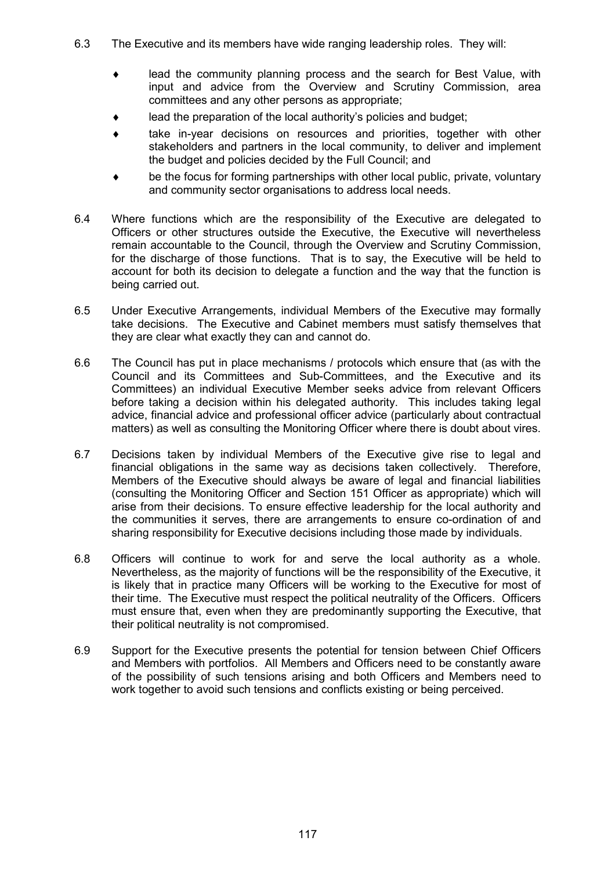- 6.3 The Executive and its members have wide ranging leadership roles. They will:
	- lead the community planning process and the search for Best Value, with input and advice from the Overview and Scrutiny Commission, area committees and any other persons as appropriate;
	- lead the preparation of the local authority's policies and budget;
	- take in-year decisions on resources and priorities, together with other stakeholders and partners in the local community, to deliver and implement the budget and policies decided by the Full Council; and
	- be the focus for forming partnerships with other local public, private, voluntary and community sector organisations to address local needs.
- 6.4 Where functions which are the responsibility of the Executive are delegated to Officers or other structures outside the Executive, the Executive will nevertheless remain accountable to the Council, through the Overview and Scrutiny Commission, for the discharge of those functions. That is to say, the Executive will be held to account for both its decision to delegate a function and the way that the function is being carried out.
- 6.5 Under Executive Arrangements, individual Members of the Executive may formally take decisions. The Executive and Cabinet members must satisfy themselves that they are clear what exactly they can and cannot do.
- 6.6 The Council has put in place mechanisms / protocols which ensure that (as with the Council and its Committees and Sub-Committees, and the Executive and its Committees) an individual Executive Member seeks advice from relevant Officers before taking a decision within his delegated authority. This includes taking legal advice, financial advice and professional officer advice (particularly about contractual matters) as well as consulting the Monitoring Officer where there is doubt about vires.
- 6.7 Decisions taken by individual Members of the Executive give rise to legal and financial obligations in the same way as decisions taken collectively. Therefore, Members of the Executive should always be aware of legal and financial liabilities (consulting the Monitoring Officer and Section 151 Officer as appropriate) which will arise from their decisions. To ensure effective leadership for the local authority and the communities it serves, there are arrangements to ensure co-ordination of and sharing responsibility for Executive decisions including those made by individuals.
- 6.8 Officers will continue to work for and serve the local authority as a whole. Nevertheless, as the majority of functions will be the responsibility of the Executive, it is likely that in practice many Officers will be working to the Executive for most of their time. The Executive must respect the political neutrality of the Officers. Officers must ensure that, even when they are predominantly supporting the Executive, that their political neutrality is not compromised.
- 6.9 Support for the Executive presents the potential for tension between Chief Officers and Members with portfolios. All Members and Officers need to be constantly aware of the possibility of such tensions arising and both Officers and Members need to work together to avoid such tensions and conflicts existing or being perceived.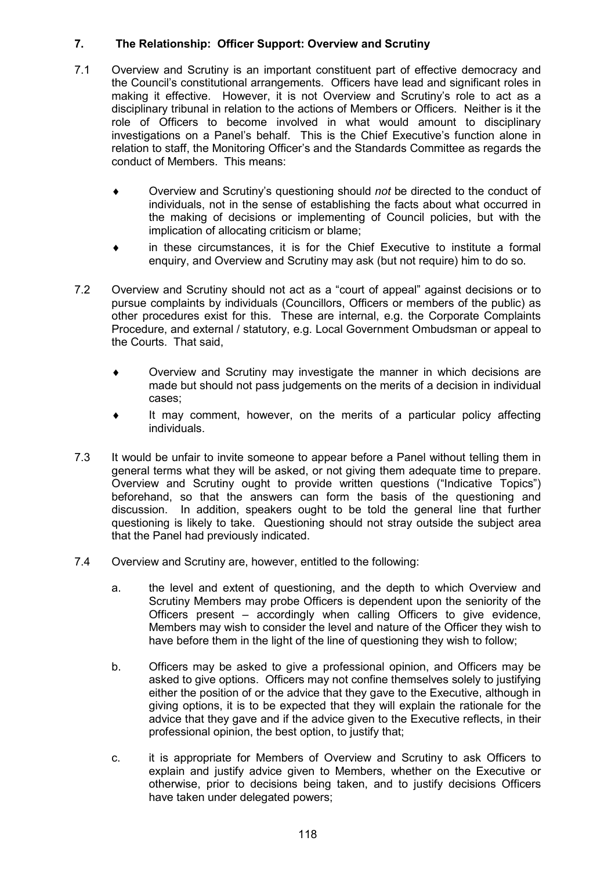# 7. The Relationship: Officer Support: Overview and Scrutiny

- 7.1 Overview and Scrutiny is an important constituent part of effective democracy and the Council's constitutional arrangements. Officers have lead and significant roles in making it effective. However, it is not Overview and Scrutiny's role to act as a disciplinary tribunal in relation to the actions of Members or Officers. Neither is it the role of Officers to become involved in what would amount to disciplinary investigations on a Panel's behalf. This is the Chief Executive's function alone in relation to staff, the Monitoring Officer's and the Standards Committee as regards the conduct of Members. This means:
	- ♦ Overview and Scrutiny's questioning should not be directed to the conduct of individuals, not in the sense of establishing the facts about what occurred in the making of decisions or implementing of Council policies, but with the implication of allocating criticism or blame;
	- in these circumstances, it is for the Chief Executive to institute a formal enquiry, and Overview and Scrutiny may ask (but not require) him to do so.
- 7.2 Overview and Scrutiny should not act as a "court of appeal" against decisions or to pursue complaints by individuals (Councillors, Officers or members of the public) as other procedures exist for this. These are internal, e.g. the Corporate Complaints Procedure, and external / statutory, e.g. Local Government Ombudsman or appeal to the Courts. That said,
	- Overview and Scrutiny may investigate the manner in which decisions are made but should not pass judgements on the merits of a decision in individual cases;
	- It may comment, however, on the merits of a particular policy affecting individuals.
- 7.3 It would be unfair to invite someone to appear before a Panel without telling them in general terms what they will be asked, or not giving them adequate time to prepare. Overview and Scrutiny ought to provide written questions ("Indicative Topics") beforehand, so that the answers can form the basis of the questioning and discussion. In addition, speakers ought to be told the general line that further questioning is likely to take. Questioning should not stray outside the subject area that the Panel had previously indicated.
- 7.4 Overview and Scrutiny are, however, entitled to the following:
	- a. the level and extent of questioning, and the depth to which Overview and Scrutiny Members may probe Officers is dependent upon the seniority of the Officers present – accordingly when calling Officers to give evidence, Members may wish to consider the level and nature of the Officer they wish to have before them in the light of the line of questioning they wish to follow;
	- b. Officers may be asked to give a professional opinion, and Officers may be asked to give options. Officers may not confine themselves solely to justifying either the position of or the advice that they gave to the Executive, although in giving options, it is to be expected that they will explain the rationale for the advice that they gave and if the advice given to the Executive reflects, in their professional opinion, the best option, to justify that;
	- c. it is appropriate for Members of Overview and Scrutiny to ask Officers to explain and justify advice given to Members, whether on the Executive or otherwise, prior to decisions being taken, and to justify decisions Officers have taken under delegated powers;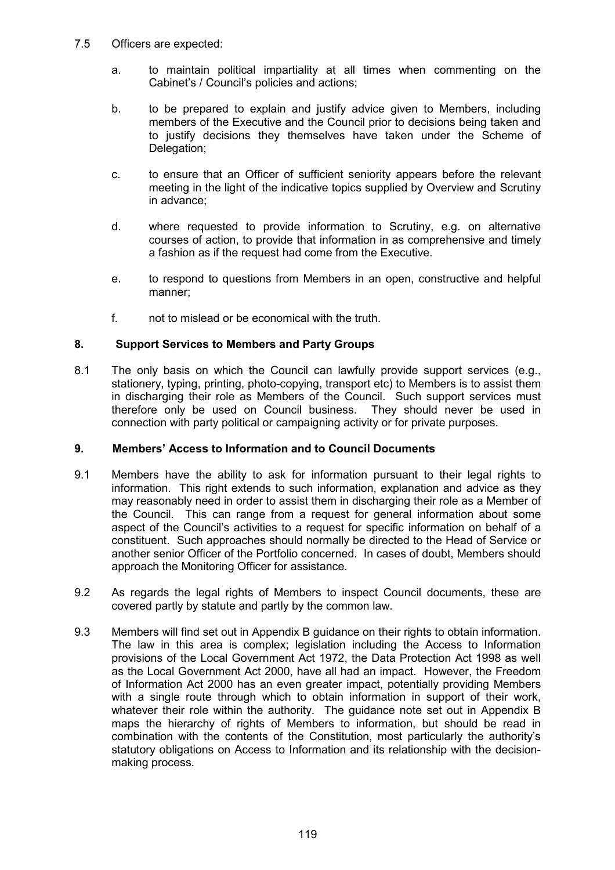- 7.5 Officers are expected:
	- a. to maintain political impartiality at all times when commenting on the Cabinet's / Council's policies and actions;
	- b. to be prepared to explain and justify advice given to Members, including members of the Executive and the Council prior to decisions being taken and to justify decisions they themselves have taken under the Scheme of Delegation;
	- c. to ensure that an Officer of sufficient seniority appears before the relevant meeting in the light of the indicative topics supplied by Overview and Scrutiny in advance;
	- d. where requested to provide information to Scrutiny, e.g. on alternative courses of action, to provide that information in as comprehensive and timely a fashion as if the request had come from the Executive.
	- e. to respond to questions from Members in an open, constructive and helpful manner;
	- f. not to mislead or be economical with the truth.

## 8. Support Services to Members and Party Groups

8.1 The only basis on which the Council can lawfully provide support services (e.g., stationery, typing, printing, photo-copying, transport etc) to Members is to assist them in discharging their role as Members of the Council. Such support services must therefore only be used on Council business. They should never be used in connection with party political or campaigning activity or for private purposes.

## 9. Members' Access to Information and to Council Documents

- 9.1 Members have the ability to ask for information pursuant to their legal rights to information. This right extends to such information, explanation and advice as they may reasonably need in order to assist them in discharging their role as a Member of the Council. This can range from a request for general information about some aspect of the Council's activities to a request for specific information on behalf of a constituent. Such approaches should normally be directed to the Head of Service or another senior Officer of the Portfolio concerned. In cases of doubt, Members should approach the Monitoring Officer for assistance.
- 9.2 As regards the legal rights of Members to inspect Council documents, these are covered partly by statute and partly by the common law.
- 9.3 Members will find set out in Appendix B guidance on their rights to obtain information. The law in this area is complex; legislation including the Access to Information provisions of the Local Government Act 1972, the Data Protection Act 1998 as well as the Local Government Act 2000, have all had an impact. However, the Freedom of Information Act 2000 has an even greater impact, potentially providing Members with a single route through which to obtain information in support of their work, whatever their role within the authority. The guidance note set out in Appendix B maps the hierarchy of rights of Members to information, but should be read in combination with the contents of the Constitution, most particularly the authority's statutory obligations on Access to Information and its relationship with the decisionmaking process.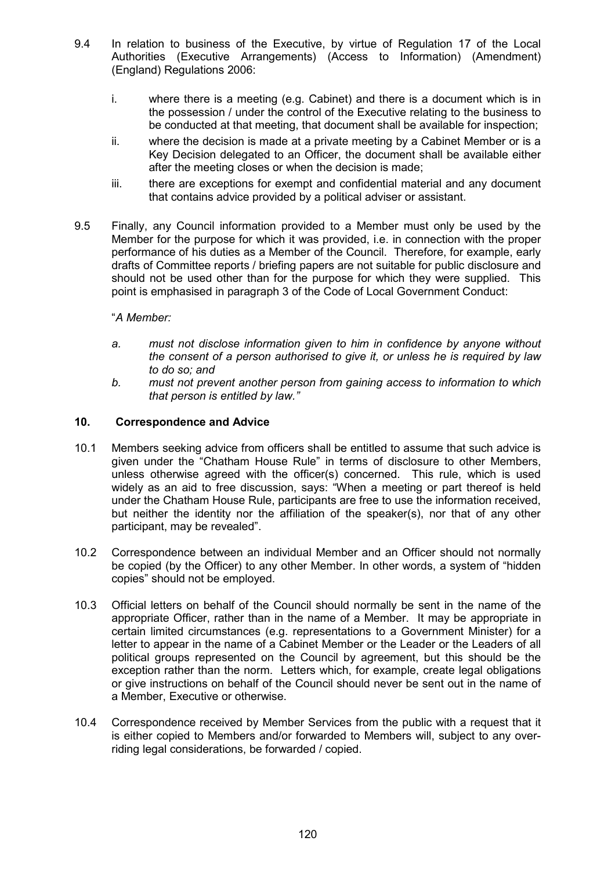- 9.4 In relation to business of the Executive, by virtue of Regulation 17 of the Local Authorities (Executive Arrangements) (Access to Information) (Amendment) (England) Regulations 2006:
	- i. where there is a meeting (e.g. Cabinet) and there is a document which is in the possession / under the control of the Executive relating to the business to be conducted at that meeting, that document shall be available for inspection;
	- ii. where the decision is made at a private meeting by a Cabinet Member or is a Key Decision delegated to an Officer, the document shall be available either after the meeting closes or when the decision is made;
	- iii. there are exceptions for exempt and confidential material and any document that contains advice provided by a political adviser or assistant.
- 9.5 Finally, any Council information provided to a Member must only be used by the Member for the purpose for which it was provided, i.e. in connection with the proper performance of his duties as a Member of the Council. Therefore, for example, early drafts of Committee reports / briefing papers are not suitable for public disclosure and should not be used other than for the purpose for which they were supplied. This point is emphasised in paragraph 3 of the Code of Local Government Conduct:

## "A Member:

- a. must not disclose information given to him in confidence by anyone without the consent of a person authorised to give it, or unless he is required by law to do so; and
- b. must not prevent another person from gaining access to information to which that person is entitled by law."

#### 10. Correspondence and Advice

- 10.1 Members seeking advice from officers shall be entitled to assume that such advice is given under the "Chatham House Rule" in terms of disclosure to other Members, unless otherwise agreed with the officer(s) concerned. This rule, which is used widely as an aid to free discussion, says: "When a meeting or part thereof is held under the Chatham House Rule, participants are free to use the information received, but neither the identity nor the affiliation of the speaker(s), nor that of any other participant, may be revealed".
- 10.2 Correspondence between an individual Member and an Officer should not normally be copied (by the Officer) to any other Member. In other words, a system of "hidden copies" should not be employed.
- 10.3 Official letters on behalf of the Council should normally be sent in the name of the appropriate Officer, rather than in the name of a Member. It may be appropriate in certain limited circumstances (e.g. representations to a Government Minister) for a letter to appear in the name of a Cabinet Member or the Leader or the Leaders of all political groups represented on the Council by agreement, but this should be the exception rather than the norm. Letters which, for example, create legal obligations or give instructions on behalf of the Council should never be sent out in the name of a Member, Executive or otherwise.
- 10.4 Correspondence received by Member Services from the public with a request that it is either copied to Members and/or forwarded to Members will, subject to any overriding legal considerations, be forwarded / copied.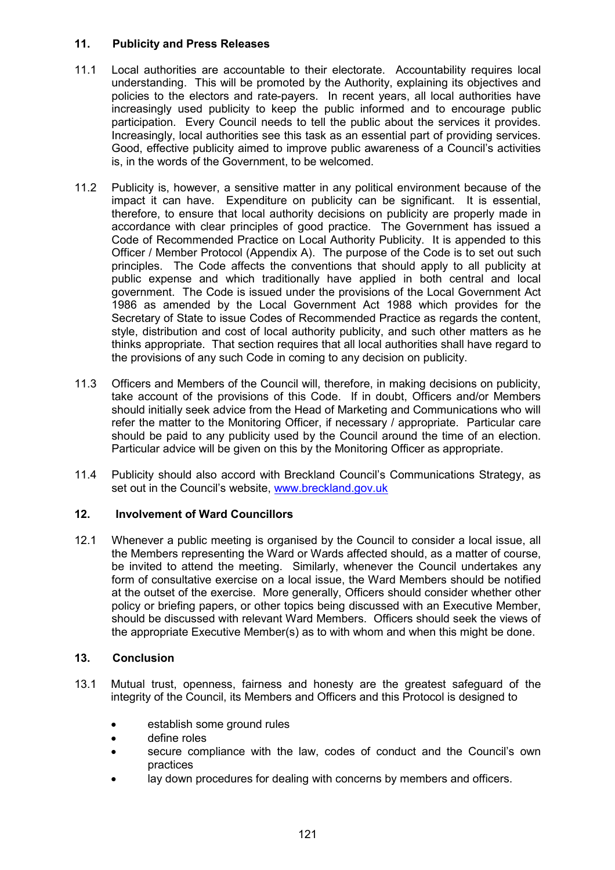## 11. Publicity and Press Releases

- 11.1 Local authorities are accountable to their electorate. Accountability requires local understanding. This will be promoted by the Authority, explaining its objectives and policies to the electors and rate-payers. In recent years, all local authorities have increasingly used publicity to keep the public informed and to encourage public participation. Every Council needs to tell the public about the services it provides. Increasingly, local authorities see this task as an essential part of providing services. Good, effective publicity aimed to improve public awareness of a Council's activities is, in the words of the Government, to be welcomed.
- 11.2 Publicity is, however, a sensitive matter in any political environment because of the impact it can have. Expenditure on publicity can be significant. It is essential, therefore, to ensure that local authority decisions on publicity are properly made in accordance with clear principles of good practice. The Government has issued a Code of Recommended Practice on Local Authority Publicity. It is appended to this Officer / Member Protocol (Appendix A). The purpose of the Code is to set out such principles. The Code affects the conventions that should apply to all publicity at public expense and which traditionally have applied in both central and local government. The Code is issued under the provisions of the Local Government Act 1986 as amended by the Local Government Act 1988 which provides for the Secretary of State to issue Codes of Recommended Practice as regards the content, style, distribution and cost of local authority publicity, and such other matters as he thinks appropriate. That section requires that all local authorities shall have regard to the provisions of any such Code in coming to any decision on publicity.
- 11.3 Officers and Members of the Council will, therefore, in making decisions on publicity, take account of the provisions of this Code. If in doubt, Officers and/or Members should initially seek advice from the Head of Marketing and Communications who will refer the matter to the Monitoring Officer, if necessary / appropriate. Particular care should be paid to any publicity used by the Council around the time of an election. Particular advice will be given on this by the Monitoring Officer as appropriate.
- 11.4 Publicity should also accord with Breckland Council's Communications Strategy, as set out in the Council's website, www.breckland.gov.uk

# 12. Involvement of Ward Councillors

12.1 Whenever a public meeting is organised by the Council to consider a local issue, all the Members representing the Ward or Wards affected should, as a matter of course, be invited to attend the meeting. Similarly, whenever the Council undertakes any form of consultative exercise on a local issue, the Ward Members should be notified at the outset of the exercise. More generally, Officers should consider whether other policy or briefing papers, or other topics being discussed with an Executive Member, should be discussed with relevant Ward Members. Officers should seek the views of the appropriate Executive Member(s) as to with whom and when this might be done.

## 13. Conclusion

- 13.1 Mutual trust, openness, fairness and honesty are the greatest safeguard of the integrity of the Council, its Members and Officers and this Protocol is designed to
	- establish some ground rules
	- define roles
	- secure compliance with the law, codes of conduct and the Council's own practices
	- lay down procedures for dealing with concerns by members and officers.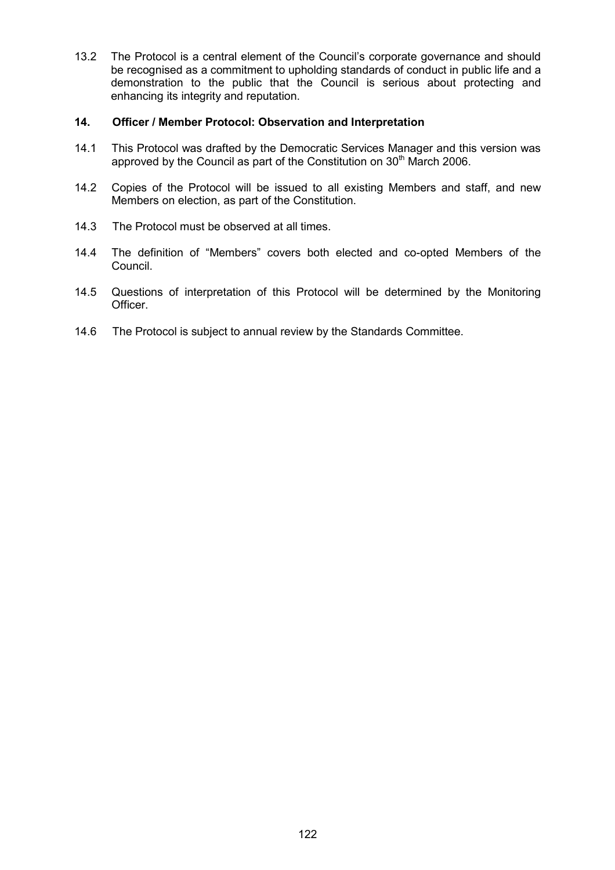13.2 The Protocol is a central element of the Council's corporate governance and should be recognised as a commitment to upholding standards of conduct in public life and a demonstration to the public that the Council is serious about protecting and enhancing its integrity and reputation.

#### 14. Officer / Member Protocol: Observation and Interpretation

- 14.1 This Protocol was drafted by the Democratic Services Manager and this version was approved by the Council as part of the Constitution on 30<sup>th</sup> March 2006.
- 14.2 Copies of the Protocol will be issued to all existing Members and staff, and new Members on election, as part of the Constitution.
- 14.3 The Protocol must be observed at all times.
- 14.4 The definition of "Members" covers both elected and co-opted Members of the Council.
- 14.5 Questions of interpretation of this Protocol will be determined by the Monitoring **Officer**
- 14.6 The Protocol is subject to annual review by the Standards Committee.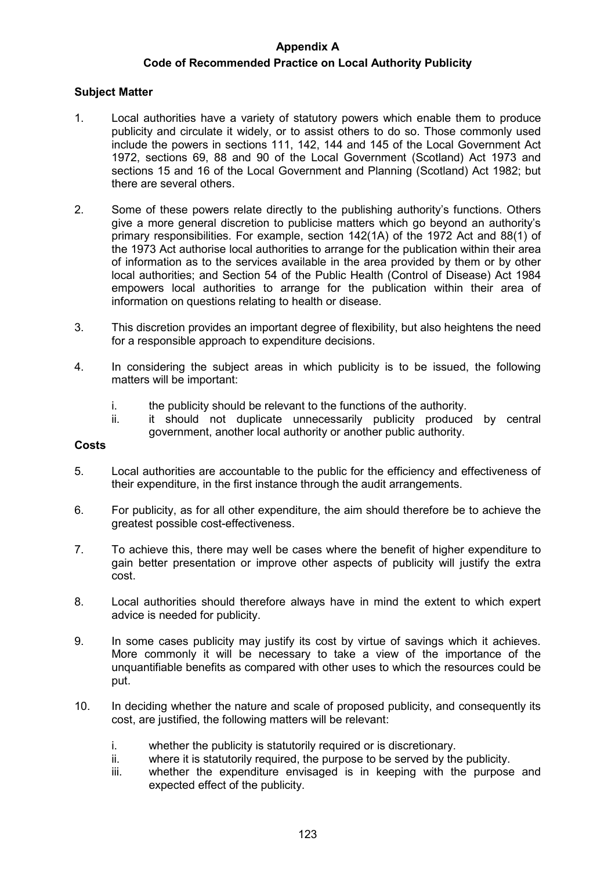## Appendix A

# Code of Recommended Practice on Local Authority Publicity

## Subject Matter

- 1. Local authorities have a variety of statutory powers which enable them to produce publicity and circulate it widely, or to assist others to do so. Those commonly used include the powers in sections 111, 142, 144 and 145 of the Local Government Act 1972, sections 69, 88 and 90 of the Local Government (Scotland) Act 1973 and sections 15 and 16 of the Local Government and Planning (Scotland) Act 1982; but there are several others.
- 2. Some of these powers relate directly to the publishing authority's functions. Others give a more general discretion to publicise matters which go beyond an authority's primary responsibilities. For example, section 142(1A) of the 1972 Act and 88(1) of the 1973 Act authorise local authorities to arrange for the publication within their area of information as to the services available in the area provided by them or by other local authorities; and Section 54 of the Public Health (Control of Disease) Act 1984 empowers local authorities to arrange for the publication within their area of information on questions relating to health or disease.
- 3. This discretion provides an important degree of flexibility, but also heightens the need for a responsible approach to expenditure decisions.
- 4. In considering the subject areas in which publicity is to be issued, the following matters will be important:
	- i. the publicity should be relevant to the functions of the authority.
	- ii. it should not duplicate unnecessarily publicity produced by central government, another local authority or another public authority.

## Costs

- 5. Local authorities are accountable to the public for the efficiency and effectiveness of their expenditure, in the first instance through the audit arrangements.
- 6. For publicity, as for all other expenditure, the aim should therefore be to achieve the greatest possible cost-effectiveness.
- 7. To achieve this, there may well be cases where the benefit of higher expenditure to gain better presentation or improve other aspects of publicity will justify the extra cost.
- 8. Local authorities should therefore always have in mind the extent to which expert advice is needed for publicity.
- 9. In some cases publicity may justify its cost by virtue of savings which it achieves. More commonly it will be necessary to take a view of the importance of the unquantifiable benefits as compared with other uses to which the resources could be put.
- 10. In deciding whether the nature and scale of proposed publicity, and consequently its cost, are justified, the following matters will be relevant:
	- i. whether the publicity is statutorily required or is discretionary.
	- ii. where it is statutorily required, the purpose to be served by the publicity.
	- iii. whether the expenditure envisaged is in keeping with the purpose and expected effect of the publicity.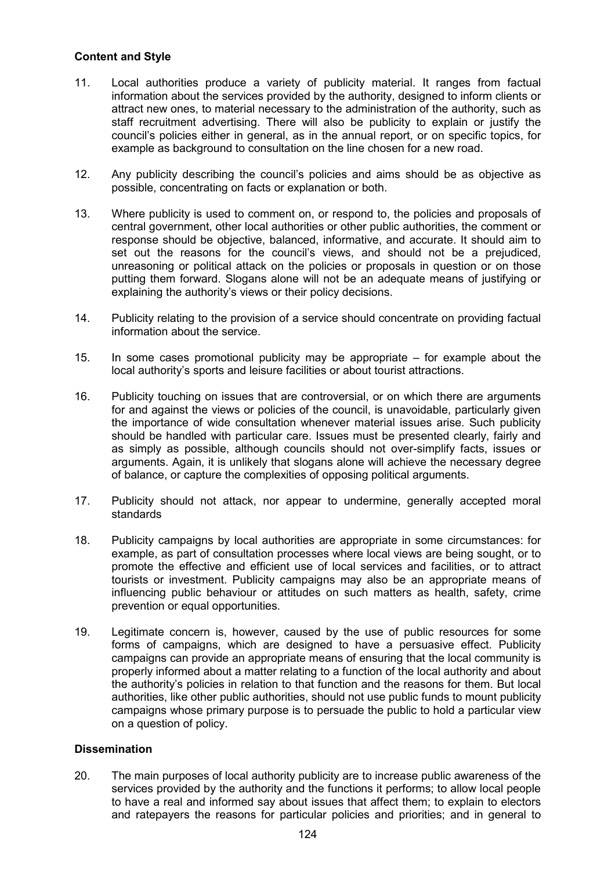## Content and Style

- 11. Local authorities produce a variety of publicity material. It ranges from factual information about the services provided by the authority, designed to inform clients or attract new ones, to material necessary to the administration of the authority, such as staff recruitment advertising. There will also be publicity to explain or justify the council's policies either in general, as in the annual report, or on specific topics, for example as background to consultation on the line chosen for a new road.
- 12. Any publicity describing the council's policies and aims should be as objective as possible, concentrating on facts or explanation or both.
- 13. Where publicity is used to comment on, or respond to, the policies and proposals of central government, other local authorities or other public authorities, the comment or response should be objective, balanced, informative, and accurate. It should aim to set out the reasons for the council's views, and should not be a prejudiced, unreasoning or political attack on the policies or proposals in question or on those putting them forward. Slogans alone will not be an adequate means of justifying or explaining the authority's views or their policy decisions.
- 14. Publicity relating to the provision of a service should concentrate on providing factual information about the service.
- 15. In some cases promotional publicity may be appropriate for example about the local authority's sports and leisure facilities or about tourist attractions.
- 16. Publicity touching on issues that are controversial, or on which there are arguments for and against the views or policies of the council, is unavoidable, particularly given the importance of wide consultation whenever material issues arise. Such publicity should be handled with particular care. Issues must be presented clearly, fairly and as simply as possible, although councils should not over-simplify facts, issues or arguments. Again, it is unlikely that slogans alone will achieve the necessary degree of balance, or capture the complexities of opposing political arguments.
- 17. Publicity should not attack, nor appear to undermine, generally accepted moral standards
- 18. Publicity campaigns by local authorities are appropriate in some circumstances: for example, as part of consultation processes where local views are being sought, or to promote the effective and efficient use of local services and facilities, or to attract tourists or investment. Publicity campaigns may also be an appropriate means of influencing public behaviour or attitudes on such matters as health, safety, crime prevention or equal opportunities.
- 19. Legitimate concern is, however, caused by the use of public resources for some forms of campaigns, which are designed to have a persuasive effect. Publicity campaigns can provide an appropriate means of ensuring that the local community is properly informed about a matter relating to a function of the local authority and about the authority's policies in relation to that function and the reasons for them. But local authorities, like other public authorities, should not use public funds to mount publicity campaigns whose primary purpose is to persuade the public to hold a particular view on a question of policy.

## **Dissemination**

20. The main purposes of local authority publicity are to increase public awareness of the services provided by the authority and the functions it performs; to allow local people to have a real and informed say about issues that affect them; to explain to electors and ratepayers the reasons for particular policies and priorities; and in general to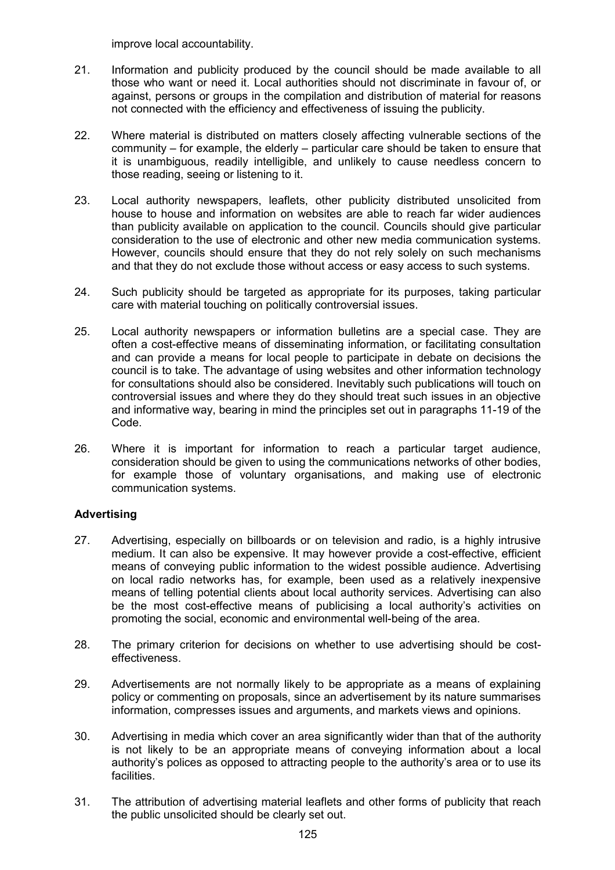improve local accountability.

- 21. Information and publicity produced by the council should be made available to all those who want or need it. Local authorities should not discriminate in favour of, or against, persons or groups in the compilation and distribution of material for reasons not connected with the efficiency and effectiveness of issuing the publicity.
- 22. Where material is distributed on matters closely affecting vulnerable sections of the community – for example, the elderly – particular care should be taken to ensure that it is unambiguous, readily intelligible, and unlikely to cause needless concern to those reading, seeing or listening to it.
- 23. Local authority newspapers, leaflets, other publicity distributed unsolicited from house to house and information on websites are able to reach far wider audiences than publicity available on application to the council. Councils should give particular consideration to the use of electronic and other new media communication systems. However, councils should ensure that they do not rely solely on such mechanisms and that they do not exclude those without access or easy access to such systems.
- 24. Such publicity should be targeted as appropriate for its purposes, taking particular care with material touching on politically controversial issues.
- 25. Local authority newspapers or information bulletins are a special case. They are often a cost-effective means of disseminating information, or facilitating consultation and can provide a means for local people to participate in debate on decisions the council is to take. The advantage of using websites and other information technology for consultations should also be considered. Inevitably such publications will touch on controversial issues and where they do they should treat such issues in an objective and informative way, bearing in mind the principles set out in paragraphs 11-19 of the Code.
- 26. Where it is important for information to reach a particular target audience, consideration should be given to using the communications networks of other bodies, for example those of voluntary organisations, and making use of electronic communication systems.

## Advertising

- 27. Advertising, especially on billboards or on television and radio, is a highly intrusive medium. It can also be expensive. It may however provide a cost-effective, efficient means of conveying public information to the widest possible audience. Advertising on local radio networks has, for example, been used as a relatively inexpensive means of telling potential clients about local authority services. Advertising can also be the most cost-effective means of publicising a local authority's activities on promoting the social, economic and environmental well-being of the area.
- 28. The primary criterion for decisions on whether to use advertising should be costeffectiveness.
- 29. Advertisements are not normally likely to be appropriate as a means of explaining policy or commenting on proposals, since an advertisement by its nature summarises information, compresses issues and arguments, and markets views and opinions.
- 30. Advertising in media which cover an area significantly wider than that of the authority is not likely to be an appropriate means of conveying information about a local authority's polices as opposed to attracting people to the authority's area or to use its facilities.
- 31. The attribution of advertising material leaflets and other forms of publicity that reach the public unsolicited should be clearly set out.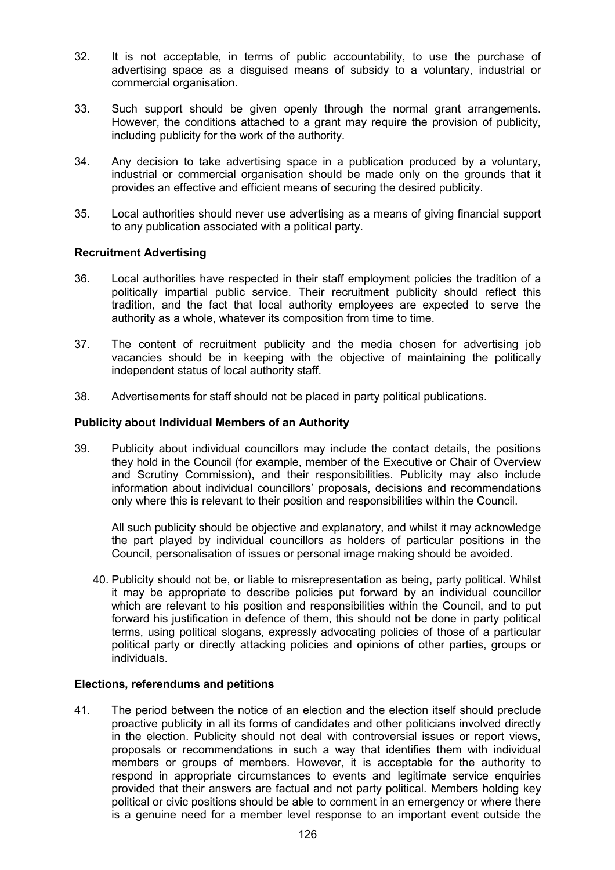- 32. It is not acceptable, in terms of public accountability, to use the purchase of advertising space as a disguised means of subsidy to a voluntary, industrial or commercial organisation.
- 33. Such support should be given openly through the normal grant arrangements. However, the conditions attached to a grant may require the provision of publicity, including publicity for the work of the authority.
- 34. Any decision to take advertising space in a publication produced by a voluntary, industrial or commercial organisation should be made only on the grounds that it provides an effective and efficient means of securing the desired publicity.
- 35. Local authorities should never use advertising as a means of giving financial support to any publication associated with a political party.

#### Recruitment Advertising

- 36. Local authorities have respected in their staff employment policies the tradition of a politically impartial public service. Their recruitment publicity should reflect this tradition, and the fact that local authority employees are expected to serve the authority as a whole, whatever its composition from time to time.
- 37. The content of recruitment publicity and the media chosen for advertising job vacancies should be in keeping with the objective of maintaining the politically independent status of local authority staff.
- 38. Advertisements for staff should not be placed in party political publications.

#### Publicity about Individual Members of an Authority

39. Publicity about individual councillors may include the contact details, the positions they hold in the Council (for example, member of the Executive or Chair of Overview and Scrutiny Commission), and their responsibilities. Publicity may also include information about individual councillors' proposals, decisions and recommendations only where this is relevant to their position and responsibilities within the Council.

 All such publicity should be objective and explanatory, and whilst it may acknowledge the part played by individual councillors as holders of particular positions in the Council, personalisation of issues or personal image making should be avoided.

40. Publicity should not be, or liable to misrepresentation as being, party political. Whilst it may be appropriate to describe policies put forward by an individual councillor which are relevant to his position and responsibilities within the Council, and to put forward his justification in defence of them, this should not be done in party political terms, using political slogans, expressly advocating policies of those of a particular political party or directly attacking policies and opinions of other parties, groups or individuals.

#### Elections, referendums and petitions

41. The period between the notice of an election and the election itself should preclude proactive publicity in all its forms of candidates and other politicians involved directly in the election. Publicity should not deal with controversial issues or report views, proposals or recommendations in such a way that identifies them with individual members or groups of members. However, it is acceptable for the authority to respond in appropriate circumstances to events and legitimate service enquiries provided that their answers are factual and not party political. Members holding key political or civic positions should be able to comment in an emergency or where there is a genuine need for a member level response to an important event outside the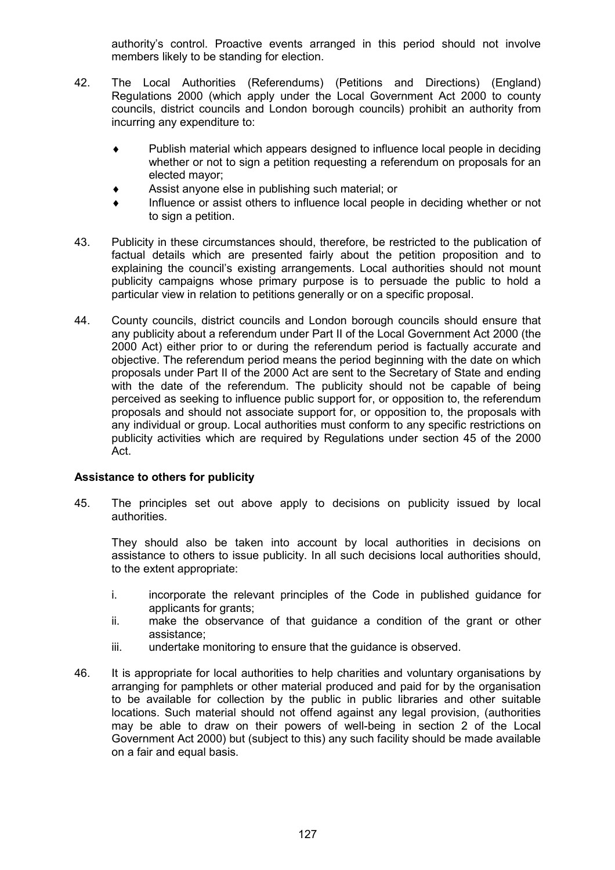authority's control. Proactive events arranged in this period should not involve members likely to be standing for election.

- 42. The Local Authorities (Referendums) (Petitions and Directions) (England) Regulations 2000 (which apply under the Local Government Act 2000 to county councils, district councils and London borough councils) prohibit an authority from incurring any expenditure to:
	- ♦ Publish material which appears designed to influence local people in deciding whether or not to sign a petition requesting a referendum on proposals for an elected mayor;
	- Assist anyone else in publishing such material; or
	- Influence or assist others to influence local people in deciding whether or not to sign a petition.
- 43. Publicity in these circumstances should, therefore, be restricted to the publication of factual details which are presented fairly about the petition proposition and to explaining the council's existing arrangements. Local authorities should not mount publicity campaigns whose primary purpose is to persuade the public to hold a particular view in relation to petitions generally or on a specific proposal.
- 44. County councils, district councils and London borough councils should ensure that any publicity about a referendum under Part II of the Local Government Act 2000 (the 2000 Act) either prior to or during the referendum period is factually accurate and objective. The referendum period means the period beginning with the date on which proposals under Part II of the 2000 Act are sent to the Secretary of State and ending with the date of the referendum. The publicity should not be capable of being perceived as seeking to influence public support for, or opposition to, the referendum proposals and should not associate support for, or opposition to, the proposals with any individual or group. Local authorities must conform to any specific restrictions on publicity activities which are required by Regulations under section 45 of the 2000 Act.

## Assistance to others for publicity

45. The principles set out above apply to decisions on publicity issued by local authorities.

 They should also be taken into account by local authorities in decisions on assistance to others to issue publicity. In all such decisions local authorities should, to the extent appropriate:

- i. incorporate the relevant principles of the Code in published guidance for applicants for grants;
- ii. make the observance of that guidance a condition of the grant or other assistance;
- iii. undertake monitoring to ensure that the guidance is observed.
- 46. It is appropriate for local authorities to help charities and voluntary organisations by arranging for pamphlets or other material produced and paid for by the organisation to be available for collection by the public in public libraries and other suitable locations. Such material should not offend against any legal provision, (authorities may be able to draw on their powers of well-being in section 2 of the Local Government Act 2000) but (subject to this) any such facility should be made available on a fair and equal basis.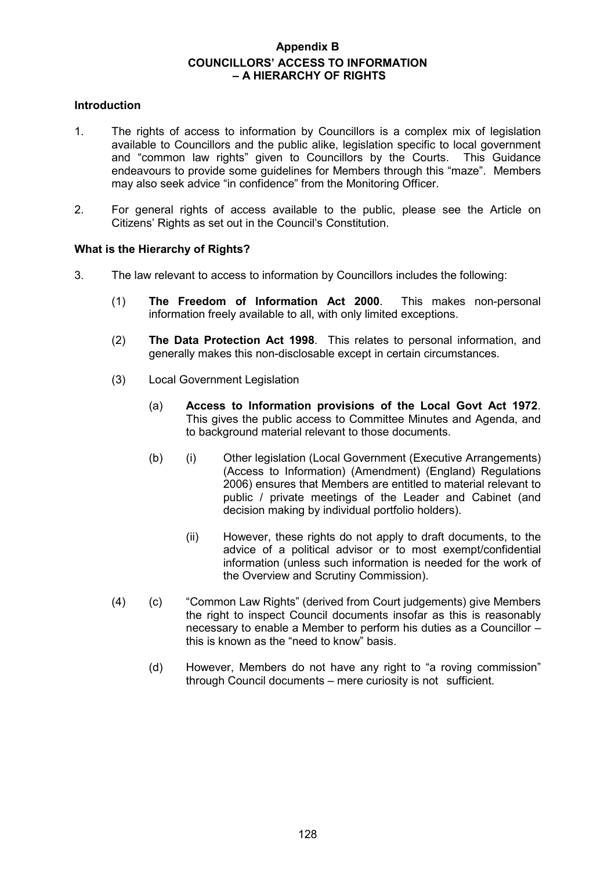# Appendix B COUNCILLORS' ACCESS TO INFORMATION – A HIERARCHY OF RIGHTS

#### Introduction

- 1. The rights of access to information by Councillors is a complex mix of legislation available to Councillors and the public alike, legislation specific to local government and "common law rights" given to Councillors by the Courts. This Guidance endeavours to provide some guidelines for Members through this "maze". Members may also seek advice "in confidence" from the Monitoring Officer.
- 2. For general rights of access available to the public, please see the Article on Citizens' Rights as set out in the Council's Constitution.

#### What is the Hierarchy of Rights?

- 3. The law relevant to access to information by Councillors includes the following:
	- (1) The Freedom of Information Act 2000. This makes non-personal information freely available to all, with only limited exceptions.
	- (2) The Data Protection Act 1998. This relates to personal information, and generally makes this non-disclosable except in certain circumstances.
	- (3) Local Government Legislation
		- (a) Access to Information provisions of the Local Govt Act 1972. This gives the public access to Committee Minutes and Agenda, and to background material relevant to those documents.
		- (b) (i) Other legislation (Local Government (Executive Arrangements) (Access to Information) (Amendment) (England) Regulations 2006) ensures that Members are entitled to material relevant to public / private meetings of the Leader and Cabinet (and decision making by individual portfolio holders).
			- (ii) However, these rights do not apply to draft documents, to the advice of a political advisor or to most exempt/confidential information (unless such information is needed for the work of the Overview and Scrutiny Commission).
	- (4) (c) "Common Law Rights" (derived from Court judgements) give Members the right to inspect Council documents insofar as this is reasonably necessary to enable a Member to perform his duties as a Councillor – this is known as the "need to know" basis.
		- (d) However, Members do not have any right to "a roving commission" through Council documents – mere curiosity is not sufficient.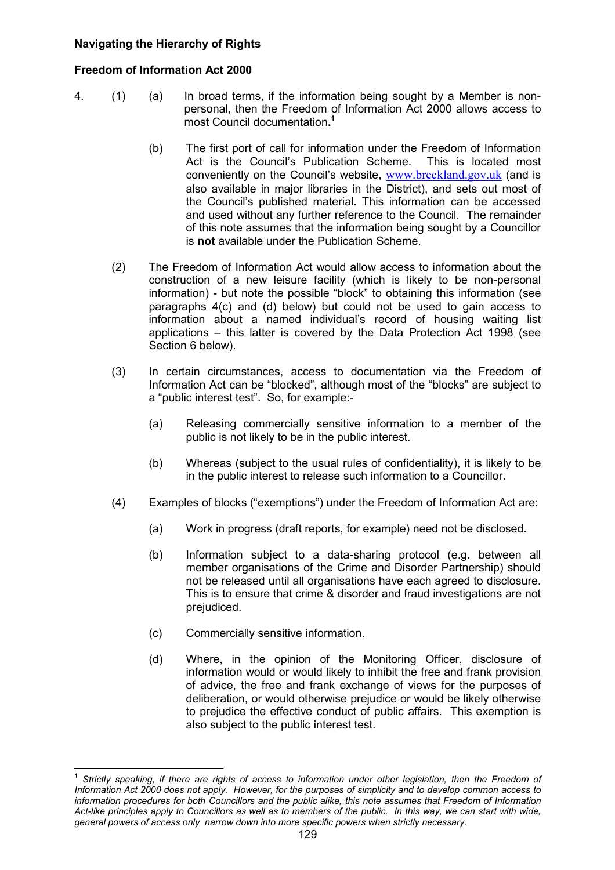## Navigating the Hierarchy of Rights

## Freedom of Information Act 2000

- 4. (1) (a) In broad terms, if the information being sought by a Member is nonpersonal, then the Freedom of Information Act 2000 allows access to most Council documentation. 1
	- (b) The first port of call for information under the Freedom of Information Act is the Council's Publication Scheme. This is located most conveniently on the Council's website, www.breckland.gov.uk (and is also available in major libraries in the District), and sets out most of the Council's published material. This information can be accessed and used without any further reference to the Council. The remainder of this note assumes that the information being sought by a Councillor is not available under the Publication Scheme.
	- (2) The Freedom of Information Act would allow access to information about the construction of a new leisure facility (which is likely to be non-personal information) - but note the possible "block" to obtaining this information (see paragraphs 4(c) and (d) below) but could not be used to gain access to information about a named individual's record of housing waiting list applications – this latter is covered by the Data Protection Act 1998 (see Section 6 below).
	- (3) In certain circumstances, access to documentation via the Freedom of Information Act can be "blocked", although most of the "blocks" are subject to a "public interest test". So, for example:-
		- (a) Releasing commercially sensitive information to a member of the public is not likely to be in the public interest.
		- (b) Whereas (subject to the usual rules of confidentiality), it is likely to be in the public interest to release such information to a Councillor.
	- (4) Examples of blocks ("exemptions") under the Freedom of Information Act are:
		- (a) Work in progress (draft reports, for example) need not be disclosed.
		- (b) Information subject to a data-sharing protocol (e.g. between all member organisations of the Crime and Disorder Partnership) should not be released until all organisations have each agreed to disclosure. This is to ensure that crime & disorder and fraud investigations are not prejudiced.
		- (c) Commercially sensitive information.
		- (d) Where, in the opinion of the Monitoring Officer, disclosure of information would or would likely to inhibit the free and frank provision of advice, the free and frank exchange of views for the purposes of deliberation, or would otherwise prejudice or would be likely otherwise to prejudice the effective conduct of public affairs. This exemption is also subject to the public interest test.

 1 Strictly speaking, if there are rights of access to information under other legislation, then the Freedom of Information Act 2000 does not apply. However, for the purposes of simplicity and to develop common access to information procedures for both Councillors and the public alike, this note assumes that Freedom of Information Act-like principles apply to Councillors as well as to members of the public. In this way, we can start with wide, general powers of access only narrow down into more specific powers when strictly necessary.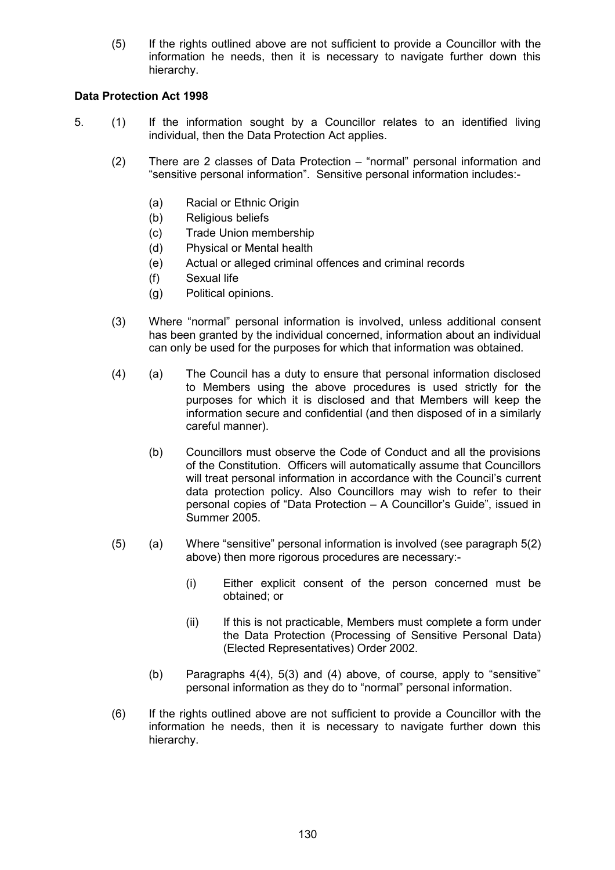(5) If the rights outlined above are not sufficient to provide a Councillor with the information he needs, then it is necessary to navigate further down this hierarchy.

## Data Protection Act 1998

- 5. (1) If the information sought by a Councillor relates to an identified living individual, then the Data Protection Act applies.
	- (2) There are 2 classes of Data Protection "normal" personal information and "sensitive personal information". Sensitive personal information includes:-
		- (a) Racial or Ethnic Origin
		- (b) Religious beliefs
		- (c) Trade Union membership
		- (d) Physical or Mental health
		- (e) Actual or alleged criminal offences and criminal records
		- (f) Sexual life
		- (g) Political opinions.
	- (3) Where "normal" personal information is involved, unless additional consent has been granted by the individual concerned, information about an individual can only be used for the purposes for which that information was obtained.
	- (4) (a) The Council has a duty to ensure that personal information disclosed to Members using the above procedures is used strictly for the purposes for which it is disclosed and that Members will keep the information secure and confidential (and then disposed of in a similarly careful manner).
		- (b) Councillors must observe the Code of Conduct and all the provisions of the Constitution. Officers will automatically assume that Councillors will treat personal information in accordance with the Council's current data protection policy. Also Councillors may wish to refer to their personal copies of "Data Protection – A Councillor's Guide", issued in Summer 2005.
	- (5) (a) Where "sensitive" personal information is involved (see paragraph 5(2) above) then more rigorous procedures are necessary:-
		- (i) Either explicit consent of the person concerned must be obtained; or
		- (ii) If this is not practicable, Members must complete a form under the Data Protection (Processing of Sensitive Personal Data) (Elected Representatives) Order 2002.
		- (b) Paragraphs 4(4), 5(3) and (4) above, of course, apply to "sensitive" personal information as they do to "normal" personal information.
	- (6) If the rights outlined above are not sufficient to provide a Councillor with the information he needs, then it is necessary to navigate further down this hierarchy.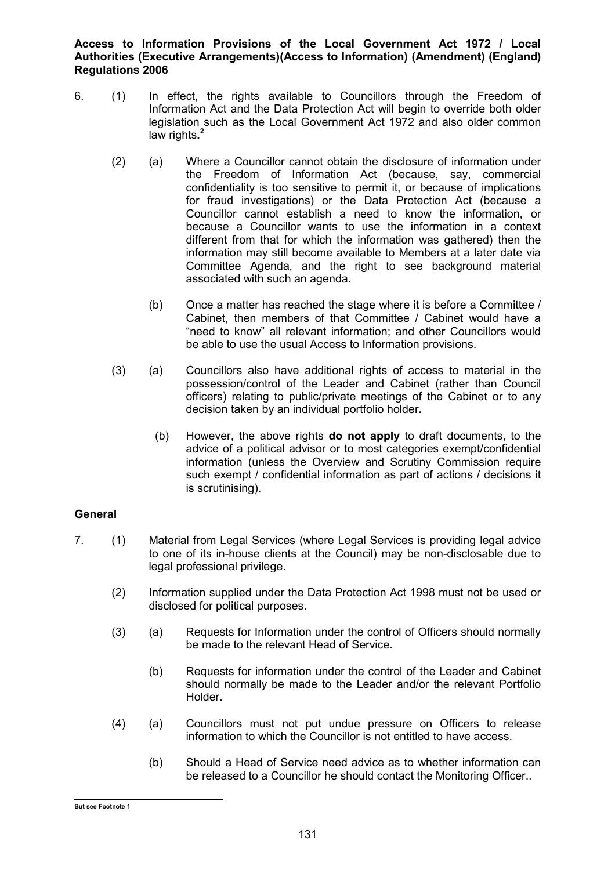Access to Information Provisions of the Local Government Act 1972 / Local Authorities (Executive Arrangements)(Access to Information) (Amendment) (England) Regulations 2006

- 6. (1) In effect, the rights available to Councillors through the Freedom of Information Act and the Data Protection Act will begin to override both older legislation such as the Local Government Act 1972 and also older common law rights.<sup>2</sup>
	- (2) (a) Where a Councillor cannot obtain the disclosure of information under the Freedom of Information Act (because, say, commercial confidentiality is too sensitive to permit it, or because of implications for fraud investigations) or the Data Protection Act (because a Councillor cannot establish a need to know the information, or because a Councillor wants to use the information in a context different from that for which the information was gathered) then the information may still become available to Members at a later date via Committee Agenda, and the right to see background material associated with such an agenda.
		- (b) Once a matter has reached the stage where it is before a Committee / Cabinet, then members of that Committee / Cabinet would have a "need to know" all relevant information; and other Councillors would be able to use the usual Access to Information provisions.
	- (3) (a) Councillors also have additional rights of access to material in the possession/control of the Leader and Cabinet (rather than Council officers) relating to public/private meetings of the Cabinet or to any decision taken by an individual portfolio holder.
		- (b) However, the above rights do not apply to draft documents, to the advice of a political advisor or to most categories exempt/confidential information (unless the Overview and Scrutiny Commission require such exempt / confidential information as part of actions / decisions it is scrutinising).

## **General**

- 7. (1) Material from Legal Services (where Legal Services is providing legal advice to one of its in-house clients at the Council) may be non-disclosable due to legal professional privilege.
	- (2) Information supplied under the Data Protection Act 1998 must not be used or disclosed for political purposes.
	- (3) (a) Requests for Information under the control of Officers should normally be made to the relevant Head of Service.
		- (b) Requests for information under the control of the Leader and Cabinet should normally be made to the Leader and/or the relevant Portfolio Holder.
	- (4) (a) Councillors must not put undue pressure on Officers to release information to which the Councillor is not entitled to have access.
		- (b) Should a Head of Service need advice as to whether information can be released to a Councillor he should contact the Monitoring Officer..

 But see Footnote 1